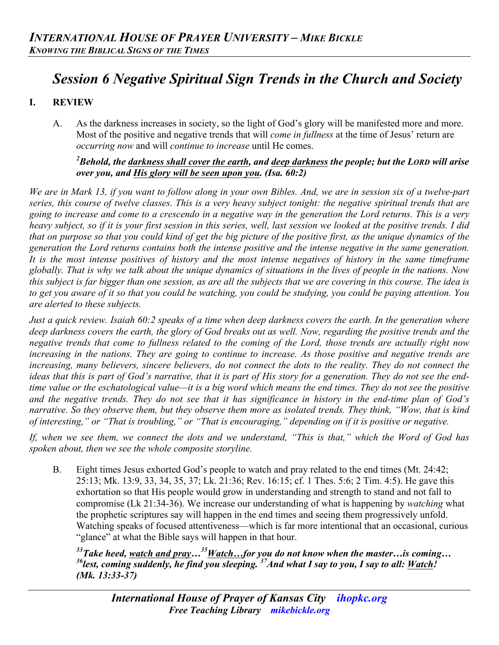# *Session 6 Negative Spiritual Sign Trends in the Church and Society*

## **I. REVIEW**

A. As the darkness increases in society, so the light of God's glory will be manifested more and more. Most of the positive and negative trends that will *come in fullness* at the time of Jesus' return are *occurring now* and will *continue to increase* until He comes.

#### *2 Behold, the darkness shall cover the earth, and deep darkness the people; but the LORD will arise over you, and His glory will be seen upon you. (Isa. 60:2)*

*We are in Mark 13, if you want to follow along in your own Bibles. And, we are in session six of a twelve-part series, this course of twelve classes. This is a very heavy subject tonight: the negative spiritual trends that are going to increase and come to a crescendo in a negative way in the generation the Lord returns. This is a very heavy subject, so if it is your first session in this series, well, last session we looked at the positive trends. I did that on purpose so that you could kind of get the big picture of the positive first, as the unique dynamics of the generation the Lord returns contains both the intense positive and the intense negative in the same generation. It is the most intense positives of history and the most intense negatives of history in the same timeframe globally. That is why we talk about the unique dynamics of situations in the lives of people in the nations. Now this subject is far bigger than one session, as are all the subjects that we are covering in this course. The idea is to get you aware of it so that you could be watching, you could be studying, you could be paying attention. You are alerted to these subjects.*

*Just a quick review. Isaiah 60:2 speaks of a time when deep darkness covers the earth. In the generation where deep darkness covers the earth, the glory of God breaks out as well. Now, regarding the positive trends and the negative trends that come to fullness related to the coming of the Lord, those trends are actually right now increasing in the nations. They are going to continue to increase. As those positive and negative trends are increasing, many believers, sincere believers, do not connect the dots to the reality. They do not connect the ideas that this is part of God's narrative, that it is part of His story for a generation. They do not see the endtime value or the eschatological value—it is a big word which means the end times. They do not see the positive and the negative trends. They do not see that it has significance in history in the end-time plan of God's narrative. So they observe them, but they observe them more as isolated trends. They think, "Wow, that is kind of interesting," or "That is troubling," or "That is encouraging," depending on if it is positive or negative.* 

*If, when we see them, we connect the dots and we understand, "This is that," which the Word of God has spoken about, then we see the whole composite storyline.*

B. Eight times Jesus exhorted God's people to watch and pray related to the end times (Mt. 24:42; 25:13; Mk. 13:9, 33, 34, 35, 37; Lk. 21:36; Rev. 16:15; cf. 1 Thes. 5:6; 2 Tim. 4:5). He gave this exhortation so that His people would grow in understanding and strength to stand and not fall to compromise (Lk 21:34-36). We increase our understanding of what is happening by *watching* what the prophetic scriptures say will happen in the end times and seeing them progressively unfold. Watching speaks of focused attentiveness—which is far more intentional that an occasional, curious "glance" at what the Bible says will happen in that hour.

*33Take heed, watch and pray…35Watch…for you do not know when the master…is coming… 36lest, coming suddenly, he find you sleeping. 37And what I say to you, I say to all: Watch! (Mk. 13:33-37)*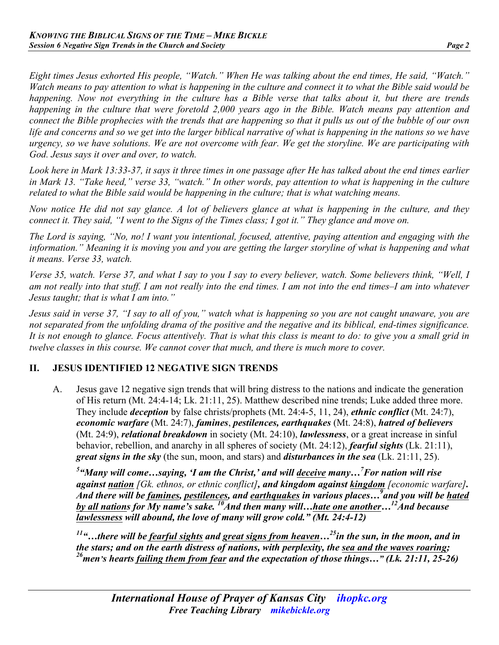*Eight times Jesus exhorted His people, "Watch." When He was talking about the end times, He said, "Watch." Watch means to pay attention to what is happening in the culture and connect it to what the Bible said would be happening. Now not everything in the culture has a Bible verse that talks about it, but there are trends happening in the culture that were foretold 2,000 years ago in the Bible. Watch means pay attention and connect the Bible prophecies with the trends that are happening so that it pulls us out of the bubble of our own life and concerns and so we get into the larger biblical narrative of what is happening in the nations so we have urgency, so we have solutions. We are not overcome with fear. We get the storyline. We are participating with God. Jesus says it over and over, to watch.*

*Look here in Mark 13:33-37, it says it three times in one passage after He has talked about the end times earlier in Mark 13. "Take heed," verse 33, "watch." In other words, pay attention to what is happening in the culture related to what the Bible said would be happening in the culture; that is what watching means.*

*Now notice He did not say glance. A lot of believers glance at what is happening in the culture, and they connect it. They said, "I went to the Signs of the Times class; I got it." They glance and move on.*

*The Lord is saying, "No, no! I want you intentional, focused, attentive, paying attention and engaging with the information." Meaning it is moving you and you are getting the larger storyline of what is happening and what it means. Verse 33, watch.*

*Verse 35, watch. Verse 37, and what I say to you I say to every believer, watch. Some believers think, "Well, I am not really into that stuff. I am not really into the end times. I am not into the end times–I am into whatever Jesus taught; that is what I am into."*

*Jesus said in verse 37, "I say to all of you," watch what is happening so you are not caught unaware, you are not separated from the unfolding drama of the positive and the negative and its biblical, end-times significance. It is not enough to glance. Focus attentively. That is what this class is meant to do: to give you a small grid in twelve classes in this course. We cannot cover that much, and there is much more to cover.*

## **II. JESUS IDENTIFIED 12 NEGATIVE SIGN TRENDS**

A. Jesus gave 12 negative sign trends that will bring distress to the nations and indicate the generation of His return (Mt. 24:4-14; Lk. 21:11, 25). Matthew described nine trends; Luke added three more. They include *deception* by false christs/prophets (Mt. 24:4-5, 11, 24), *ethnic conflict* (Mt. 24:7), *economic warfare* (Mt. 24:7), *famines*, *pestilences, earthquakes* (Mt. 24:8), *hatred of believers* (Mt. 24:9), *relational breakdown* in society (Mt. 24:10), *lawlessness*, or a great increase in sinful behavior, rebellion, and anarchy in all spheres of society (Mt. 24:12), *fearful sights* (Lk. 21:11), *great signs in the sky* (the sun, moon, and stars) and *disturbances in the sea* (Lk. 21:11, 25).

*5 "Many will come…saying, 'I am the Christ,' and will deceive many…<sup>7</sup> For nation will rise against nation [Gk. ethnos, or ethnic conflict], and kingdom against kingdom [economic warfare]. And there will be famines, pestilences, and earthquakes in various places…<sup>9</sup> and you will be hated by all nations for My name's sake.* <sup>10</sup>And then many will…hate one another…<sup>12</sup>And because *lawlessness will abound, the love of many will grow cold." (Mt. 24:4-12)* 

*11"…there will be fearful sights and great signs from heaven…25in the sun, in the moon, and in the stars; and on the earth distress of nations, with perplexity, the sea and the waves roaring; 26men's hearts failing them from fear and the expectation of those things…" (Lk. 21:11, 25-26)*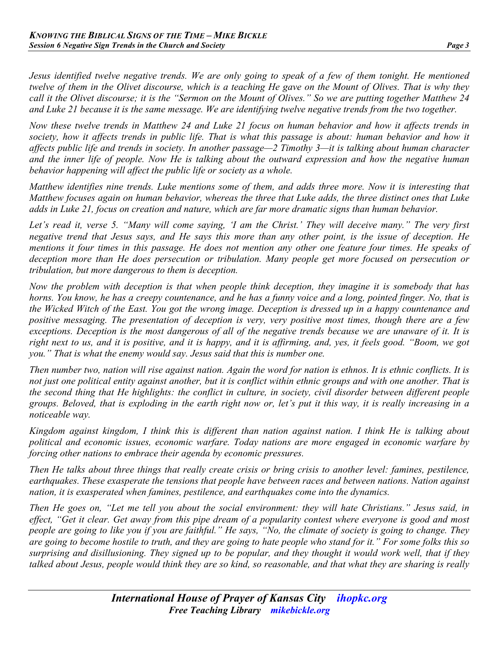*Jesus identified twelve negative trends. We are only going to speak of a few of them tonight. He mentioned twelve of them in the Olivet discourse, which is a teaching He gave on the Mount of Olives. That is why they call it the Olivet discourse; it is the "Sermon on the Mount of Olives." So we are putting together Matthew 24 and Luke 21 because it is the same message. We are identifying twelve negative trends from the two together.*

*Now these twelve trends in Matthew 24 and Luke 21 focus on human behavior and how it affects trends in*  society, how it affects trends in public life. That is what this passage is about: human behavior and how it *affects public life and trends in society. In another passage—2 Timothy 3—it is talking about human character and the inner life of people. Now He is talking about the outward expression and how the negative human behavior happening will affect the public life or society as a whole.*

*Matthew identifies nine trends. Luke mentions some of them, and adds three more. Now it is interesting that Matthew focuses again on human behavior, whereas the three that Luke adds, the three distinct ones that Luke adds in Luke 21, focus on creation and nature, which are far more dramatic signs than human behavior.*

*Let's read it, verse 5. "Many will come saying, 'I am the Christ.' They will deceive many." The very first negative trend that Jesus says, and He says this more than any other point, is the issue of deception. He mentions it four times in this passage. He does not mention any other one feature four times. He speaks of deception more than He does persecution or tribulation. Many people get more focused on persecution or tribulation, but more dangerous to them is deception.*

*Now the problem with deception is that when people think deception, they imagine it is somebody that has horns. You know, he has a creepy countenance, and he has a funny voice and a long, pointed finger. No, that is the Wicked Witch of the East. You got the wrong image. Deception is dressed up in a happy countenance and positive messaging. The presentation of deception is very, very positive most times, though there are a few exceptions. Deception is the most dangerous of all of the negative trends because we are unaware of it. It is right next to us, and it is positive, and it is happy, and it is affirming, and, yes, it feels good. "Boom, we got you." That is what the enemy would say. Jesus said that this is number one.* 

*Then number two, nation will rise against nation. Again the word for nation is ethnos. It is ethnic conflicts. It is not just one political entity against another, but it is conflict within ethnic groups and with one another. That is the second thing that He highlights: the conflict in culture, in society, civil disorder between different people groups. Beloved, that is exploding in the earth right now or, let's put it this way, it is really increasing in a noticeable way.*

*Kingdom against kingdom, I think this is different than nation against nation. I think He is talking about political and economic issues, economic warfare. Today nations are more engaged in economic warfare by forcing other nations to embrace their agenda by economic pressures.*

*Then He talks about three things that really create crisis or bring crisis to another level: famines, pestilence, earthquakes. These exasperate the tensions that people have between races and between nations. Nation against nation, it is exasperated when famines, pestilence, and earthquakes come into the dynamics.*

*Then He goes on, "Let me tell you about the social environment: they will hate Christians." Jesus said, in effect, "Get it clear. Get away from this pipe dream of a popularity contest where everyone is good and most people are going to like you if you are faithful." He says, "No, the climate of society is going to change. They are going to become hostile to truth, and they are going to hate people who stand for it." For some folks this so surprising and disillusioning. They signed up to be popular, and they thought it would work well, that if they talked about Jesus, people would think they are so kind, so reasonable, and that what they are sharing is really*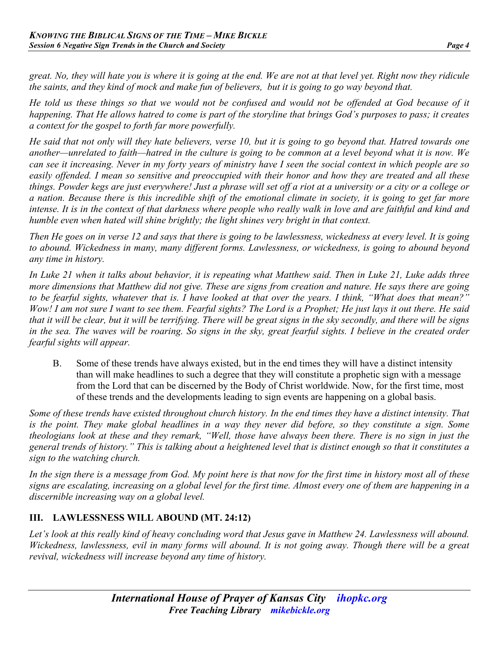*great. No, they will hate you is where it is going at the end. We are not at that level yet. Right now they ridicule the saints, and they kind of mock and make fun of believers, but it is going to go way beyond that.*

*He told us these things so that we would not be confused and would not be offended at God because of it happening. That He allows hatred to come is part of the storyline that brings God's purposes to pass; it creates a context for the gospel to forth far more powerfully.*

*He said that not only will they hate believers, verse 10, but it is going to go beyond that. Hatred towards one another—unrelated to faith—hatred in the culture is going to be common at a level beyond what it is now. We can see it increasing. Never in my forty years of ministry have I seen the social context in which people are so easily offended. I mean so sensitive and preoccupied with their honor and how they are treated and all these things. Powder kegs are just everywhere! Just a phrase will set off a riot at a university or a city or a college or a nation. Because there is this incredible shift of the emotional climate in society, it is going to get far more intense. It is in the context of that darkness where people who really walk in love and are faithful and kind and humble even when hated will shine brightly; the light shines very bright in that context.* 

*Then He goes on in verse 12 and says that there is going to be lawlessness, wickedness at every level. It is going to abound. Wickedness in many, many different forms. Lawlessness, or wickedness, is going to abound beyond any time in history.* 

*In Luke 21 when it talks about behavior, it is repeating what Matthew said. Then in Luke 21, Luke adds three more dimensions that Matthew did not give. These are signs from creation and nature. He says there are going to be fearful sights, whatever that is. I have looked at that over the years. I think, "What does that mean?" Wow! I am not sure I want to see them. Fearful sights? The Lord is a Prophet; He just lays it out there. He said that it will be clear, but it will be terrifying. There will be great signs in the sky secondly, and there will be signs in the sea. The waves will be roaring. So signs in the sky, great fearful sights. I believe in the created order fearful sights will appear.*

B. Some of these trends have always existed, but in the end times they will have a distinct intensity than will make headlines to such a degree that they will constitute a prophetic sign with a message from the Lord that can be discerned by the Body of Christ worldwide. Now, for the first time, most of these trends and the developments leading to sign events are happening on a global basis.

*Some of these trends have existed throughout church history. In the end times they have a distinct intensity. That is the point. They make global headlines in a way they never did before, so they constitute a sign. Some theologians look at these and they remark, "Well, those have always been there. There is no sign in just the general trends of history." This is talking about a heightened level that is distinct enough so that it constitutes a sign to the watching church.*

*In the sign there is a message from God. My point here is that now for the first time in history most all of these signs are escalating, increasing on a global level for the first time. Almost every one of them are happening in a discernible increasing way on a global level.*

# **III. LAWLESSNESS WILL ABOUND (MT. 24:12)**

Let's look at this really kind of heavy concluding word that Jesus gave in Matthew 24. Lawlessness will abound. *Wickedness, lawlessness, evil in many forms will abound. It is not going away. Though there will be a great revival, wickedness will increase beyond any time of history.*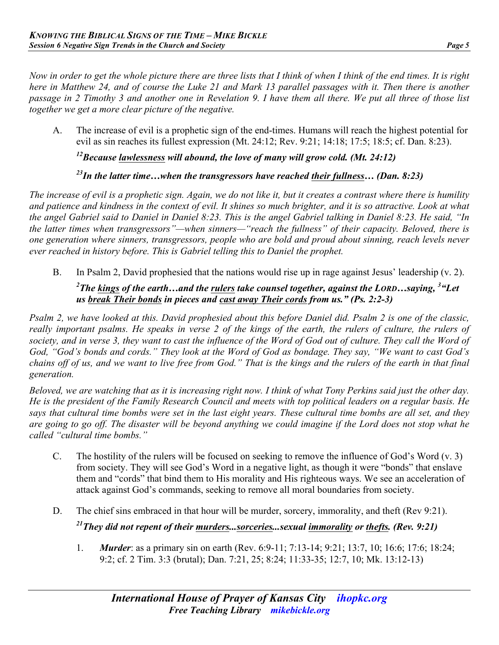*Now in order to get the whole picture there are three lists that I think of when I think of the end times. It is right here in Matthew 24, and of course the Luke 21 and Mark 13 parallel passages with it. Then there is another passage in 2 Timothy 3 and another one in Revelation 9. I have them all there. We put all three of those list together we get a more clear picture of the negative.*

A. The increase of evil is a prophetic sign of the end-times. Humans will reach the highest potential for evil as sin reaches its fullest expression (Mt. 24:12; Rev. 9:21; 14:18; 17:5; 18:5; cf. Dan. 8:23).

*12Because lawlessness will abound, the love of many will grow cold. (Mt. 24:12)* 

# *23In the latter time…when the transgressors have reached their fullness… (Dan. 8:23)*

*The increase of evil is a prophetic sign. Again, we do not like it, but it creates a contrast where there is humility and patience and kindness in the context of evil. It shines so much brighter, and it is so attractive. Look at what the angel Gabriel said to Daniel in Daniel 8:23. This is the angel Gabriel talking in Daniel 8:23. He said, "In the latter times when transgressors"—when sinners—"reach the fullness" of their capacity. Beloved, there is one generation where sinners, transgressors, people who are bold and proud about sinning, reach levels never ever reached in history before. This is Gabriel telling this to Daniel the prophet.*

B. In Psalm 2, David prophesied that the nations would rise up in rage against Jesus' leadership (v. 2).

#### *2 The kings of the earth…and the rulers take counsel together, against the LORD…saying, 3 "Let us break Their bonds in pieces and cast away Their cords from us." (Ps. 2:2-3)*

*Psalm 2, we have looked at this. David prophesied about this before Daniel did. Psalm 2 is one of the classic, really important psalms. He speaks in verse 2 of the kings of the earth, the rulers of culture, the rulers of*  society, and in verse 3, they want to cast the influence of the Word of God out of culture. They call the Word of *God, "God's bonds and cords." They look at the Word of God as bondage. They say, "We want to cast God's chains off of us, and we want to live free from God." That is the kings and the rulers of the earth in that final generation.*

*Beloved, we are watching that as it is increasing right now. I think of what Tony Perkins said just the other day. He is the president of the Family Research Council and meets with top political leaders on a regular basis. He says that cultural time bombs were set in the last eight years. These cultural time bombs are all set, and they are going to go off. The disaster will be beyond anything we could imagine if the Lord does not stop what he called "cultural time bombs."*

- C. The hostility of the rulers will be focused on seeking to remove the influence of God's Word (v. 3) from society. They will see God's Word in a negative light, as though it were "bonds" that enslave them and "cords" that bind them to His morality and His righteous ways. We see an acceleration of attack against God's commands, seeking to remove all moral boundaries from society.
- D. The chief sins embraced in that hour will be murder, sorcery, immorality, and theft (Rev 9:21). *21They did not repent of their murders...sorceries...sexual immorality or thefts. (Rev. 9:21)*
	- 1. *Murder*: as a primary sin on earth (Rev. 6:9-11; 7:13-14; 9:21; 13:7, 10; 16:6; 17:6; 18:24; 9:2; cf. 2 Tim. 3:3 (brutal); Dan. 7:21, 25; 8:24; 11:33-35; 12:7, 10; Mk. 13:12-13)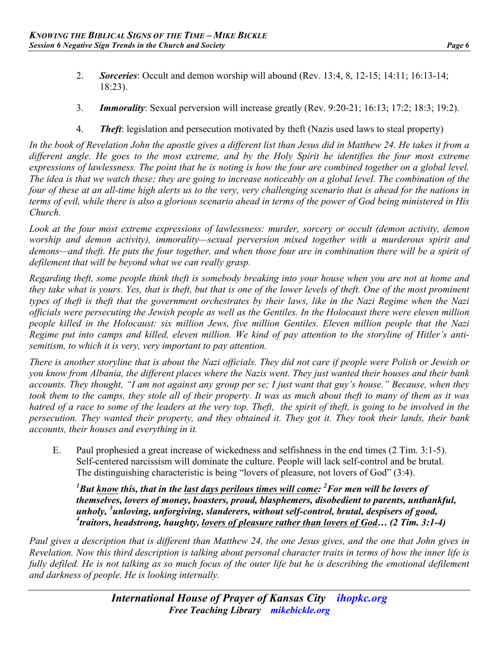- 
- 2. *Sorceries*: Occult and demon worship will abound (Rev. 13:4, 8, 12-15; 14:11; 16:13-14; 18:23).
- 3. *Immorality*: Sexual perversion will increase greatly (Rev. 9:20-21; 16:13; 17:2; 18:3; 19:2).
- 4. *Theft*: legislation and persecution motivated by theft (Nazis used laws to steal property)

*In the book of Revelation John the apostle gives a different list than Jesus did in Matthew 24. He takes it from a different angle. He goes to the most extreme, and by the Holy Spirit he identifies the four most extreme expressions of lawlessness. The point that he is noting is how the four are combined together on a global level. The idea is that we watch these; they are going to increase noticeably on a global level. The combination of the four of these at an all-time high alerts us to the very, very challenging scenario that is ahead for the nations in terms of evil, while there is also a glorious scenario ahead in terms of the power of God being ministered in His Church.*

*Look at the four most extreme expressions of lawlessness: murder, sorcery or occult (demon activity, demon worship and demon activity), immorality—sexual perversion mixed together with a murderous spirit and demons—and theft. He puts the four together, and when those four are in combination there will be a spirit of defilement that will be beyond what we can really grasp.*

*Regarding theft, some people think theft is somebody breaking into your house when you are not at home and they take what is yours. Yes, that is theft, but that is one of the lower levels of theft. One of the most prominent types of theft is theft that the government orchestrates by their laws, like in the Nazi Regime when the Nazi officials were persecuting the Jewish people as well as the Gentiles. In the Holocaust there were eleven million people killed in the Holocaust: six million Jews, five million Gentiles. Eleven million people that the Nazi Regime put into camps and killed, eleven million. We kind of pay attention to the storyline of Hitler's antisemitism, to which it is very, very important to pay attention.*

*There is another storyline that is about the Nazi officials. They did not care if people were Polish or Jewish or you know from Albania, the different places where the Nazis went. They just wanted their houses and their bank accounts. They thought, "I am not against any group per se; I just want that guy's house." Because, when they took them to the camps, they stole all of their property. It was as much about theft to many of them as it was hatred of a race to some of the leaders at the very top. Theft, the spirit of theft, is going to be involved in the persecution. They wanted their property, and they obtained it. They got it. They took their lands, their bank accounts, their houses and everything in it.*

E. Paul prophesied a great increase of wickedness and selfishness in the end times (2 Tim. 3:1-5). Self-centered narcissism will dominate the culture. People will lack self-control and be brutal. The distinguishing characteristic is being "lovers of pleasure, not lovers of God" (3:4).

*1 But know this, that in the last days perilous times will come: 2 For men will be lovers of themselves, lovers of money, boasters, proud, blasphemers, disobedient to parents, unthankful, unholy, 3 unloving, unforgiving, slanderers, without self-control, brutal, despisers of good, 4 traitors, headstrong, haughty, lovers of pleasure rather than lovers of God… (2 Tim. 3:1-4)*

*Paul gives a description that is different than Matthew 24, the one Jesus gives, and the one that John gives in Revelation. Now this third description is talking about personal character traits in terms of how the inner life is*  fully defiled. He is not talking as so much focus of the outer life but he is describing the emotional defilement *and darkness of people. He is looking internally.*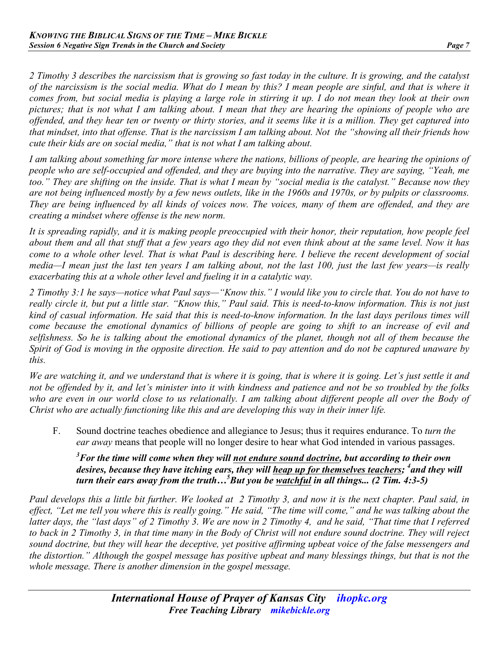*2 Timothy 3 describes the narcissism that is growing so fast today in the culture. It is growing, and the catalyst of the narcissism is the social media. What do I mean by this? I mean people are sinful, and that is where it comes from, but social media is playing a large role in stirring it up. I do not mean they look at their own pictures; that is not what I am talking about. I mean that they are hearing the opinions of people who are offended, and they hear ten or twenty or thirty stories, and it seems like it is a million. They get captured into that mindset, into that offense. That is the narcissism I am talking about. Not the "showing all their friends how cute their kids are on social media," that is not what I am talking about.*

*I am talking about something far more intense where the nations, billions of people, are hearing the opinions of people who are self-occupied and offended, and they are buying into the narrative. They are saying, "Yeah, me too." They are shifting on the inside. That is what I mean by "social media is the catalyst." Because now they are not being influenced mostly by a few news outlets, like in the 1960s and 1970s, or by pulpits or classrooms. They are being influenced by all kinds of voices now. The voices, many of them are offended, and they are creating a mindset where offense is the new norm.*

*It is spreading rapidly, and it is making people preoccupied with their honor, their reputation, how people feel about them and all that stuff that a few years ago they did not even think about at the same level. Now it has come to a whole other level. That is what Paul is describing here. I believe the recent development of social media—I mean just the last ten years I am talking about, not the last 100, just the last few years—is really exacerbating this at a whole other level and fueling it in a catalytic way.*

*2 Timothy 3:1 he says—notice what Paul says—"Know this." I would like you to circle that. You do not have to really circle it, but put a little star. "Know this," Paul said. This is need-to-know information. This is not just kind of casual information. He said that this is need-to-know information. In the last days perilous times will come because the emotional dynamics of billions of people are going to shift to an increase of evil and selfishness. So he is talking about the emotional dynamics of the planet, though not all of them because the Spirit of God is moving in the opposite direction. He said to pay attention and do not be captured unaware by this.*

*We are watching it, and we understand that is where it is going, that is where it is going. Let's just settle it and not be offended by it, and let's minister into it with kindness and patience and not be so troubled by the folks*  who are even in our world close to us relationally. I am talking about different people all over the Body of *Christ who are actually functioning like this and are developing this way in their inner life.*

F. Sound doctrine teaches obedience and allegiance to Jesus; thus it requires endurance. To *turn the ear away* means that people will no longer desire to hear what God intended in various passages.

*3 For the time will come when they will not endure sound doctrine, but according to their own*  desires, because they have itching ears, they will heap up for themselves teachers; <sup>4</sup> and they will *turn their ears away from the truth…5 But you be watchful in all things... (2 Tim. 4:3-5)*

*Paul develops this a little bit further. We looked at 2 Timothy 3, and now it is the next chapter. Paul said, in effect, "Let me tell you where this is really going." He said, "The time will come," and he was talking about the latter days, the "last days" of 2 Timothy 3. We are now in 2 Timothy 4, and he said, "That time that I referred to back in 2 Timothy 3, in that time many in the Body of Christ will not endure sound doctrine. They will reject sound doctrine, but they will hear the deceptive, yet positive affirming upbeat voice of the false messengers and the distortion." Although the gospel message has positive upbeat and many blessings things, but that is not the whole message. There is another dimension in the gospel message.*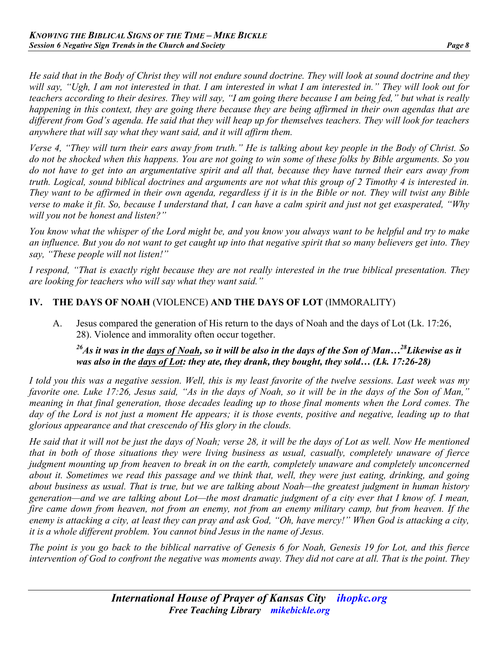*He said that in the Body of Christ they will not endure sound doctrine. They will look at sound doctrine and they will say, "Ugh, I am not interested in that. I am interested in what I am interested in." They will look out for teachers according to their desires. They will say, "I am going there because I am being fed," but what is really happening in this context, they are going there because they are being affirmed in their own agendas that are different from God's agenda. He said that they will heap up for themselves teachers. They will look for teachers anywhere that will say what they want said, and it will affirm them.*

*Verse 4, "They will turn their ears away from truth." He is talking about key people in the Body of Christ. So do not be shocked when this happens. You are not going to win some of these folks by Bible arguments. So you do not have to get into an argumentative spirit and all that, because they have turned their ears away from truth. Logical, sound biblical doctrines and arguments are not what this group of 2 Timothy 4 is interested in. They want to be affirmed in their own agenda, regardless if it is in the Bible or not. They will twist any Bible verse to make it fit. So, because I understand that, I can have a calm spirit and just not get exasperated, "Why will you not be honest and listen?"*

*You know what the whisper of the Lord might be, and you know you always want to be helpful and try to make an influence. But you do not want to get caught up into that negative spirit that so many believers get into. They say, "These people will not listen!"*

*I respond, "That is exactly right because they are not really interested in the true biblical presentation. They are looking for teachers who will say what they want said."*

## **IV. THE DAYS OF NOAH** (VIOLENCE) **AND THE DAYS OF LOT** (IMMORALITY)

A. Jesus compared the generation of His return to the days of Noah and the days of Lot (Lk. 17:26, 28). Violence and immorality often occur together.

#### *26As it was in the days of Noah, so it will be also in the days of the Son of Man…28Likewise as it was also in the days of Lot: they ate, they drank, they bought, they sold… (Lk. 17:26-28)*

*I told you this was a negative session. Well, this is my least favorite of the twelve sessions. Last week was my favorite one. Luke 17:26, Jesus said, "As in the days of Noah, so it will be in the days of the Son of Man," meaning in that final generation, those decades leading up to those final moments when the Lord comes. The day of the Lord is not just a moment He appears; it is those events, positive and negative, leading up to that glorious appearance and that crescendo of His glory in the clouds.*

*He said that it will not be just the days of Noah; verse 28, it will be the days of Lot as well. Now He mentioned that in both of those situations they were living business as usual, casually, completely unaware of fierce judgment mounting up from heaven to break in on the earth, completely unaware and completely unconcerned about it. Sometimes we read this passage and we think that, well, they were just eating, drinking, and going about business as usual. That is true, but we are talking about Noah—the greatest judgment in human history generation—and we are talking about Lot—the most dramatic judgment of a city ever that I know of. I mean, fire came down from heaven, not from an enemy, not from an enemy military camp, but from heaven. If the enemy is attacking a city, at least they can pray and ask God, "Oh, have mercy!" When God is attacking a city, it is a whole different problem. You cannot bind Jesus in the name of Jesus.*

*The point is you go back to the biblical narrative of Genesis 6 for Noah, Genesis 19 for Lot, and this fierce intervention of God to confront the negative was moments away. They did not care at all. That is the point. They*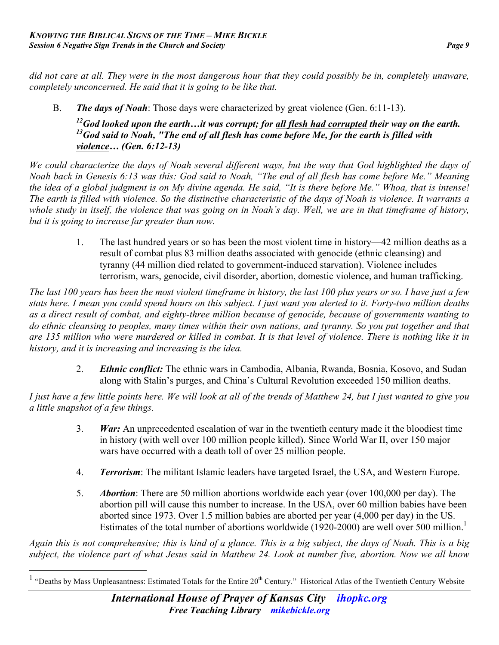*did not care at all. They were in the most dangerous hour that they could possibly be in, completely unaware, completely unconcerned. He said that it is going to be like that.*

B. *The days of Noah*: Those days were characterized by great violence (Gen. 6:11-13).

*12God looked upon the earth…it was corrupt; for all flesh had corrupted their way on the earth.*  <sup>13</sup>God said to **Noah**, "The end of all flesh has come before Me, for the earth is filled with *violence… (Gen. 6:12-13)* 

*We could characterize the days of Noah several different ways, but the way that God highlighted the days of Noah back in Genesis 6:13 was this: God said to Noah, "The end of all flesh has come before Me." Meaning the idea of a global judgment is on My divine agenda. He said, "It is there before Me." Whoa, that is intense! The earth is filled with violence. So the distinctive characteristic of the days of Noah is violence. It warrants a whole study in itself, the violence that was going on in Noah's day. Well, we are in that timeframe of history, but it is going to increase far greater than now.*

> 1. The last hundred years or so has been the most violent time in history—42 million deaths as a result of combat plus 83 million deaths associated with genocide (ethnic cleansing) and tyranny (44 million died related to government-induced starvation). Violence includes terrorism, wars, genocide, civil disorder, abortion, domestic violence, and human trafficking.

*The last 100 years has been the most violent timeframe in history, the last 100 plus years or so. I have just a few stats here. I mean you could spend hours on this subject. I just want you alerted to it. Forty-two million deaths as a direct result of combat, and eighty-three million because of genocide, because of governments wanting to do ethnic cleansing to peoples, many times within their own nations, and tyranny. So you put together and that are 135 million who were murdered or killed in combat. It is that level of violence. There is nothing like it in history, and it is increasing and increasing is the idea.*

2. *Ethnic conflict:* The ethnic wars in Cambodia, Albania, Rwanda, Bosnia, Kosovo, and Sudan along with Stalin's purges, and China's Cultural Revolution exceeded 150 million deaths.

*I just have a few little points here. We will look at all of the trends of Matthew 24, but I just wanted to give you a little snapshot of a few things.* 

- 3. *War:* An unprecedented escalation of war in the twentieth century made it the bloodiest time in history (with well over 100 million people killed). Since World War II, over 150 major wars have occurred with a death toll of over 25 million people.
- 4. *Terrorism*: The militant Islamic leaders have targeted Israel, the USA, and Western Europe.
- 5. *Abortion*: There are 50 million abortions worldwide each year (over 100,000 per day). The abortion pill will cause this number to increase. In the USA, over 60 million babies have been aborted since 1973. Over 1.5 million babies are aborted per year (4,000 per day) in the US. Estimates of the total number of abortions worldwide (1920-2000) are well over 500 million.<sup>1</sup>

*Again this is not comprehensive; this is kind of a glance. This is a big subject, the days of Noah. This is a big subject, the violence part of what Jesus said in Matthew 24. Look at number five, abortion. Now we all know* 

 $<sup>1</sup>$  "Deaths by Mass Unpleasantness: Estimated Totals for the Entire 20<sup>th</sup> Century." Historical Atlas of the Twentieth Century Website</sup>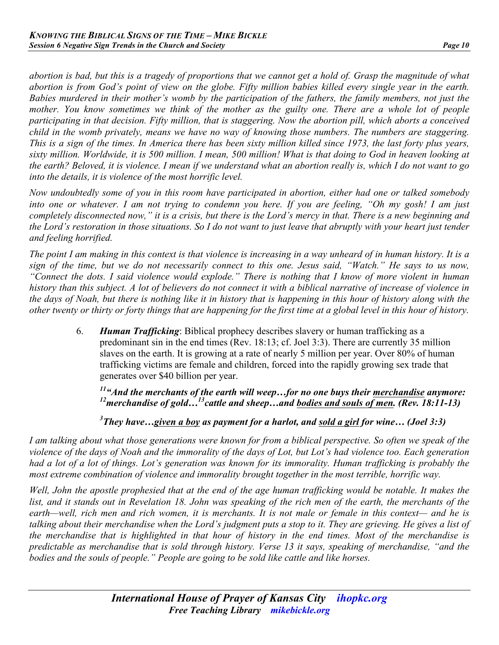*abortion is bad, but this is a tragedy of proportions that we cannot get a hold of. Grasp the magnitude of what abortion is from God's point of view on the globe. Fifty million babies killed every single year in the earth. Babies murdered in their mother's womb by the participation of the fathers, the family members, not just the mother. You know sometimes we think of the mother as the guilty one. There are a whole lot of people participating in that decision. Fifty million, that is staggering. Now the abortion pill, which aborts a conceived child in the womb privately, means we have no way of knowing those numbers. The numbers are staggering. This is a sign of the times. In America there has been sixty million killed since 1973, the last forty plus years, sixty million. Worldwide, it is 500 million. I mean, 500 million! What is that doing to God in heaven looking at the earth? Beloved, it is violence. I mean if we understand what an abortion really is, which I do not want to go into the details, it is violence of the most horrific level.*

*Now undoubtedly some of you in this room have participated in abortion, either had one or talked somebody into one or whatever. I am not trying to condemn you here. If you are feeling, "Oh my gosh! I am just completely disconnected now," it is a crisis, but there is the Lord's mercy in that. There is a new beginning and the Lord's restoration in those situations. So I do not want to just leave that abruptly with your heart just tender and feeling horrified.*

*The point I am making in this context is that violence is increasing in a way unheard of in human history. It is a sign of the time, but we do not necessarily connect to this one. Jesus said, "Watch." He says to us now, "Connect the dots. I said violence would explode." There is nothing that I know of more violent in human history than this subject. A lot of believers do not connect it with a biblical narrative of increase of violence in the days of Noah, but there is nothing like it in history that is happening in this hour of history along with the other twenty or thirty or forty things that are happening for the first time at a global level in this hour of history.*

> 6. *Human Trafficking*: Biblical prophecy describes slavery or human trafficking as a predominant sin in the end times (Rev. 18:13; cf. Joel 3:3). There are currently 35 million slaves on the earth. It is growing at a rate of nearly 5 million per year. Over 80% of human trafficking victims are female and children, forced into the rapidly growing sex trade that generates over \$40 billion per year.

*11"And the merchants of the earth will weep…for no one buys their merchandise anymore: 12merchandise of gold…13cattle and sheep…and bodies and souls of men. (Rev. 18:11-13)*

*3 They have…given a boy as payment for a harlot, and sold a girl for wine… (Joel 3:3)*

*I am talking about what those generations were known for from a biblical perspective. So often we speak of the violence of the days of Noah and the immorality of the days of Lot, but Lot's had violence too. Each generation*  had a lot of a lot of things. Lot's generation was known for its immorality. Human trafficking is probably the *most extreme combination of violence and immorality brought together in the most terrible, horrific way.*

*Well, John the apostle prophesied that at the end of the age human trafficking would be notable. It makes the list, and it stands out in Revelation 18. John was speaking of the rich men of the earth, the merchants of the earth—well, rich men and rich women, it is merchants. It is not male or female in this context— and he is talking about their merchandise when the Lord's judgment puts a stop to it. They are grieving. He gives a list of the merchandise that is highlighted in that hour of history in the end times. Most of the merchandise is predictable as merchandise that is sold through history. Verse 13 it says, speaking of merchandise, "and the bodies and the souls of people." People are going to be sold like cattle and like horses.*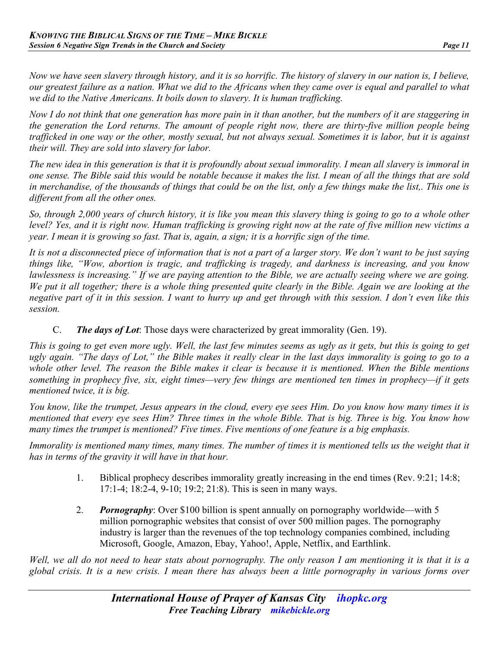*Now we have seen slavery through history, and it is so horrific. The history of slavery in our nation is, I believe, our greatest failure as a nation. What we did to the Africans when they came over is equal and parallel to what we did to the Native Americans. It boils down to slavery. It is human trafficking.*

*Now I do not think that one generation has more pain in it than another, but the numbers of it are staggering in the generation the Lord returns. The amount of people right now, there are thirty-five million people being trafficked in one way or the other, mostly sexual, but not always sexual. Sometimes it is labor, but it is against their will. They are sold into slavery for labor.*

*The new idea in this generation is that it is profoundly about sexual immorality. I mean all slavery is immoral in one sense. The Bible said this would be notable because it makes the list. I mean of all the things that are sold in merchandise, of the thousands of things that could be on the list, only a few things make the list,. This one is different from all the other ones.*

*So, through 2,000 years of church history, it is like you mean this slavery thing is going to go to a whole other level? Yes, and it is right now. Human trafficking is growing right now at the rate of five million new victims a year. I mean it is growing so fast. That is, again, a sign; it is a horrific sign of the time.*

*It is not a disconnected piece of information that is not a part of a larger story. We don't want to be just saying things like, "Wow, abortion is tragic, and trafficking is tragedy, and darkness is increasing, and you know lawlessness is increasing." If we are paying attention to the Bible, we are actually seeing where we are going. We put it all together; there is a whole thing presented quite clearly in the Bible. Again we are looking at the negative part of it in this session. I want to hurry up and get through with this session. I don't even like this session.*

C. *The days of Lot*: Those days were characterized by great immorality (Gen. 19).

*This is going to get even more ugly. Well, the last few minutes seems as ugly as it gets, but this is going to get ugly again. "The days of Lot," the Bible makes it really clear in the last days immorality is going to go to a whole other level. The reason the Bible makes it clear is because it is mentioned. When the Bible mentions something in prophecy five, six, eight times—very few things are mentioned ten times in prophecy—if it gets mentioned twice, it is big.*

*You know, like the trumpet, Jesus appears in the cloud, every eye sees Him. Do you know how many times it is mentioned that every eye sees Him? Three times in the whole Bible. That is big. Three is big. You know how many times the trumpet is mentioned? Five times. Five mentions of one feature is a big emphasis.*

*Immorality is mentioned many times, many times. The number of times it is mentioned tells us the weight that it has in terms of the gravity it will have in that hour.*

- 1. Biblical prophecy describes immorality greatly increasing in the end times (Rev. 9:21; 14:8; 17:1-4; 18:2-4, 9-10; 19:2; 21:8). This is seen in many ways.
- 2. *Pornography*: Over \$100 billion is spent annually on pornography worldwide—with 5 million pornographic websites that consist of over 500 million pages. The pornography industry is larger than the revenues of the top technology companies combined, including Microsoft, Google, Amazon, Ebay, Yahoo!, Apple, Netflix, and Earthlink.

*Well, we all do not need to hear stats about pornography. The only reason I am mentioning it is that it is a global crisis. It is a new crisis. I mean there has always been a little pornography in various forms over*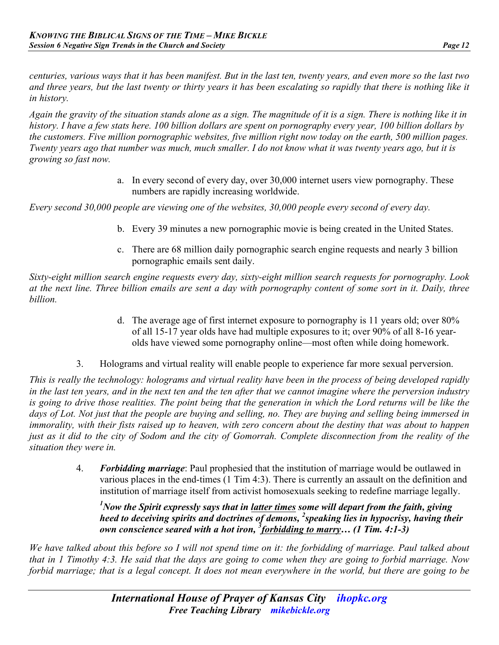*centuries, various ways that it has been manifest. But in the last ten, twenty years, and even more so the last two and three years, but the last twenty or thirty years it has been escalating so rapidly that there is nothing like it in history.*

*Again the gravity of the situation stands alone as a sign. The magnitude of it is a sign. There is nothing like it in history. I have a few stats here. 100 billion dollars are spent on pornography every year, 100 billion dollars by the customers. Five million pornographic websites, five million right now today on the earth, 500 million pages. Twenty years ago that number was much, much smaller. I do not know what it was twenty years ago, but it is growing so fast now.*

> a. In every second of every day, over 30,000 internet users view pornography. These numbers are rapidly increasing worldwide.

*Every second 30,000 people are viewing one of the websites, 30,000 people every second of every day.*

- b. Every 39 minutes a new pornographic movie is being created in the United States.
- c. There are 68 million daily pornographic search engine requests and nearly 3 billion pornographic emails sent daily.

*Sixty-eight million search engine requests every day, sixty-eight million search requests for pornography. Look at the next line. Three billion emails are sent a day with pornography content of some sort in it. Daily, three billion.*

- d. The average age of first internet exposure to pornography is 11 years old; over 80% of all 15-17 year olds have had multiple exposures to it; over 90% of all 8-16 yearolds have viewed some pornography online—most often while doing homework.
- 3. Holograms and virtual reality will enable people to experience far more sexual perversion.

*This is really the technology: holograms and virtual reality have been in the process of being developed rapidly in the last ten years, and in the next ten and the ten after that we cannot imagine where the perversion industry is going to drive those realities. The point being that the generation in which the Lord returns will be like the days of Lot. Not just that the people are buying and selling, no. They are buying and selling being immersed in immorality, with their fists raised up to heaven, with zero concern about the destiny that was about to happen just as it did to the city of Sodom and the city of Gomorrah. Complete disconnection from the reality of the situation they were in.*

> 4. *Forbidding marriage*: Paul prophesied that the institution of marriage would be outlawed in various places in the end-times (1 Tim 4:3). There is currently an assault on the definition and institution of marriage itself from activist homosexuals seeking to redefine marriage legally.

*1 Now the Spirit expressly says that in latter times some will depart from the faith, giving heed to deceiving spirits and doctrines of demons, <sup>2</sup> speaking lies in hypocrisy, having their own conscience seared with a hot iron, <sup>3</sup> forbidding to marry… (1 Tim. 4:1-3)*

*We have talked about this before so I will not spend time on it: the forbidding of marriage. Paul talked about that in 1 Timothy 4:3. He said that the days are going to come when they are going to forbid marriage. Now forbid marriage; that is a legal concept. It does not mean everywhere in the world, but there are going to be*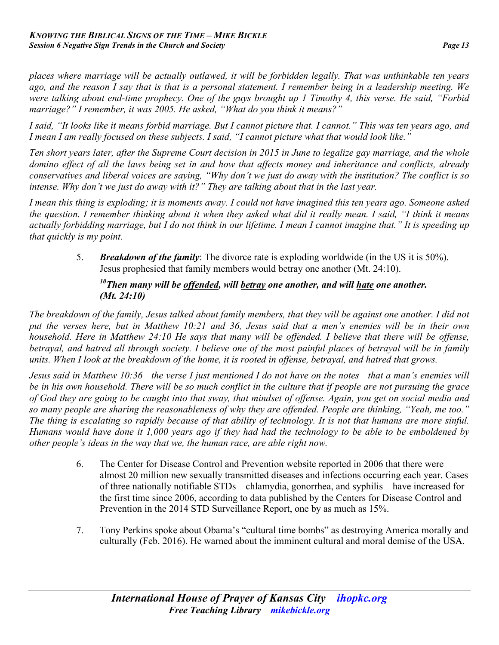*places where marriage will be actually outlawed, it will be forbidden legally. That was unthinkable ten years ago, and the reason I say that is that is a personal statement. I remember being in a leadership meeting. We were talking about end-time prophecy. One of the guys brought up 1 Timothy 4, this verse. He said, "Forbid marriage?" I remember, it was 2005. He asked, "What do you think it means?"*

*I said, "It looks like it means forbid marriage. But I cannot picture that. I cannot." This was ten years ago, and I mean I am really focused on these subjects. I said, "I cannot picture what that would look like."*

*Ten short years later, after the Supreme Court decision in 2015 in June to legalize gay marriage, and the whole domino effect of all the laws being set in and how that affects money and inheritance and conflicts, already conservatives and liberal voices are saying, "Why don't we just do away with the institution? The conflict is so intense. Why don't we just do away with it?" They are talking about that in the last year.*

*I mean this thing is exploding; it is moments away. I could not have imagined this ten years ago. Someone asked the question. I remember thinking about it when they asked what did it really mean. I said, "I think it means actually forbidding marriage, but I do not think in our lifetime. I mean I cannot imagine that." It is speeding up that quickly is my point.*

> 5. *Breakdown of the family*: The divorce rate is exploding worldwide (in the US it is 50%). Jesus prophesied that family members would betray one another (Mt. 24:10).

## *10Then many will be offended, will betray one another, and will hate one another. (Mt. 24:10)*

*The breakdown of the family, Jesus talked about family members, that they will be against one another. I did not put the verses here, but in Matthew 10:21 and 36, Jesus said that a men's enemies will be in their own household. Here in Matthew 24:10 He says that many will be offended. I believe that there will be offense, betrayal, and hatred all through society. I believe one of the most painful places of betrayal will be in family units. When I look at the breakdown of the home, it is rooted in offense, betrayal, and hatred that grows.*

*Jesus said in Matthew 10:36—the verse I just mentioned I do not have on the notes—that a man's enemies will be in his own household. There will be so much conflict in the culture that if people are not pursuing the grace of God they are going to be caught into that sway, that mindset of offense. Again, you get on social media and so many people are sharing the reasonableness of why they are offended. People are thinking, "Yeah, me too." The thing is escalating so rapidly because of that ability of technology. It is not that humans are more sinful. Humans would have done it 1,000 years ago if they had had the technology to be able to be emboldened by other people's ideas in the way that we, the human race, are able right now.*

- 6. The Center for Disease Control and Prevention website reported in 2006 that there were almost 20 million new sexually transmitted diseases and infections occurring each year. Cases of three nationally notifiable STDs – chlamydia, gonorrhea, and syphilis – have increased for the first time since 2006, according to data published by the Centers for Disease Control and Prevention in the 2014 STD Surveillance Report, one by as much as 15%.
- 7. Tony Perkins spoke about Obama's "cultural time bombs" as destroying America morally and culturally (Feb. 2016). He warned about the imminent cultural and moral demise of the USA.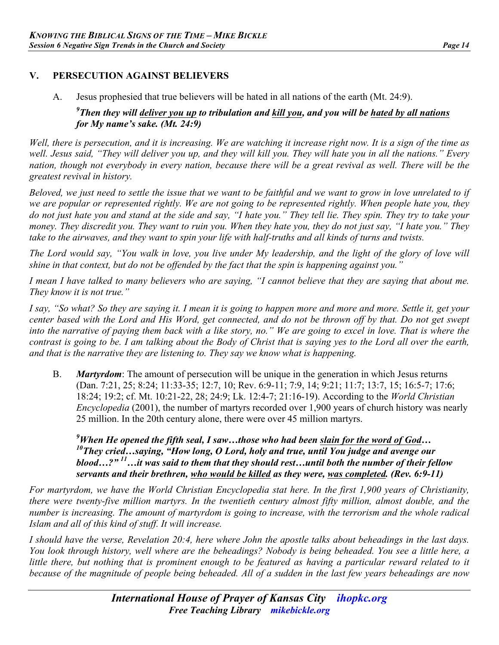## **V. PERSECUTION AGAINST BELIEVERS**

A. Jesus prophesied that true believers will be hated in all nations of the earth (Mt. 24:9).

#### *9 Then they will deliver you up to tribulation and kill you, and you will be hated by all nations for My name's sake. (Mt. 24:9)*

*Well, there is persecution, and it is increasing. We are watching it increase right now. It is a sign of the time as well. Jesus said, "They will deliver you up, and they will kill you. They will hate you in all the nations." Every nation, though not everybody in every nation, because there will be a great revival as well. There will be the greatest revival in history.*

*Beloved, we just need to settle the issue that we want to be faithful and we want to grow in love unrelated to if we are popular or represented rightly. We are not going to be represented rightly. When people hate you, they do not just hate you and stand at the side and say, "I hate you." They tell lie. They spin. They try to take your money. They discredit you. They want to ruin you. When they hate you, they do not just say, "I hate you." They take to the airwaves, and they want to spin your life with half-truths and all kinds of turns and twists.*

*The Lord would say, "You walk in love, you live under My leadership, and the light of the glory of love will shine in that context, but do not be offended by the fact that the spin is happening against you."*

*I mean I have talked to many believers who are saying, "I cannot believe that they are saying that about me. They know it is not true."*

*I say, "So what? So they are saying it. I mean it is going to happen more and more and more. Settle it, get your center based with the Lord and His Word, get connected, and do not be thrown off by that. Do not get swept into the narrative of paying them back with a like story, no." We are going to excel in love. That is where the contrast is going to be. I am talking about the Body of Christ that is saying yes to the Lord all over the earth, and that is the narrative they are listening to. They say we know what is happening.*

B. *Martyrdom*: The amount of persecution will be unique in the generation in which Jesus returns (Dan. 7:21, 25; 8:24; 11:33-35; 12:7, 10; Rev. 6:9-11; 7:9, 14; 9:21; 11:7; 13:7, 15; 16:5-7; 17:6; 18:24; 19:2; cf. Mt. 10:21-22, 28; 24:9; Lk. 12:4-7; 21:16-19). According to the *World Christian Encyclopedia* (2001), the number of martyrs recorded over 1,900 years of church history was nearly 25 million. In the 20th century alone, there were over 45 million martyrs.

<sup>9</sup>When He opened the fifth seal, I saw…those who had been <u>slain for the word of God</u>…<br><sup>10</sup>They cried…saying, "How long, O Lord, holy and true, until You judge and avenge our *blood…?" 11…it was said to them that they should rest…until both the number of their fellow servants and their brethren, who would be killed as they were, was completed. (Rev. 6:9-11)*

*For martyrdom, we have the World Christian Encyclopedia stat here. In the first 1,900 years of Christianity, there were twenty-five million martyrs. In the twentieth century almost fifty million, almost double, and the number is increasing. The amount of martyrdom is going to increase, with the terrorism and the whole radical Islam and all of this kind of stuff. It will increase.*

*I should have the verse, Revelation 20:4, here where John the apostle talks about beheadings in the last days. You look through history, well where are the beheadings? Nobody is being beheaded. You see a little here, a little there, but nothing that is prominent enough to be featured as having a particular reward related to it because of the magnitude of people being beheaded. All of a sudden in the last few years beheadings are now*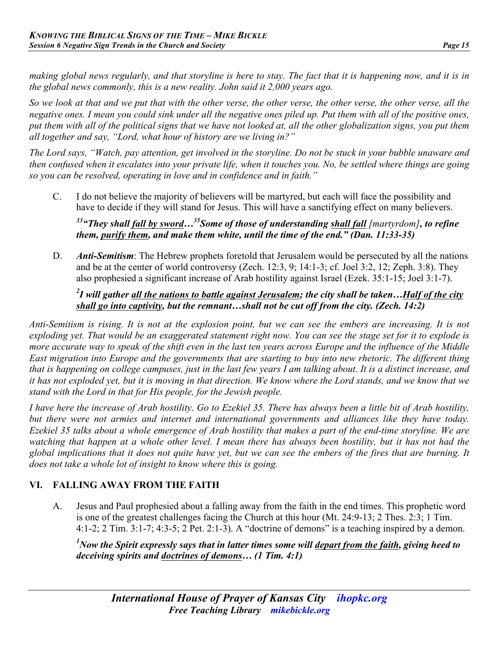*making global news regularly, and that storyline is here to stay. The fact that it is happening now, and it is in the global news commonly, this is a new reality. John said it 2,000 years ago.*

*So we look at that and we put that with the other verse, the other verse, the other verse, the other verse, all the negative ones. I mean you could sink under all the negative ones piled up. Put them with all of the positive ones, put them with all of the political signs that we have not looked at, all the other globalization signs, you put them all together and say, "Lord, what hour of history are we living in?"*

*The Lord says, "Watch, pay attention, get involved in the storyline. Do not be stuck in your bubble unaware and then confused when it escalates into your private life, when it touches you. No, be settled where things are going so you can be resolved, operating in love and in confidence and in faith."*

C. I do not believe the majority of believers will be martyred, but each will face the possibility and have to decide if they will stand for Jesus. This will have a sanctifying effect on many believers.

*33"They shall fall by sword…35Some of those of understanding shall fall [martyrdom], to refine them, purify them, and make them white, until the time of the end." (Dan. 11:33-35)*

D. *Anti-Semitism*: The Hebrew prophets foretold that Jerusalem would be persecuted by all the nations and be at the center of world controversy (Zech. 12:3, 9; 14:1-3; cf. Joel 3:2, 12; Zeph. 3:8). They also prophesied a significant increase of Arab hostility against Israel (Ezek. 35:1-15; Joel 3:1-7).

#### *2 I will gather all the nations to battle against Jerusalem; the city shall be taken…Half of the city shall go into captivity, but the remnant…shall not be cut off from the city. (Zech. 14:2)*

*Anti-Semitism is rising. It is not at the explosion point, but we can see the embers are increasing. It is not exploding yet. That would be an exaggerated statement right now. You can see the stage set for it to explode is more accurate way to speak of the shift even in the last ten years across Europe and the influence of the Middle East migration into Europe and the governments that are starting to buy into new rhetoric. The different thing that is happening on college campuses, just in the last few years I am talking about. It is a distinct increase, and it has not exploded yet, but it is moving in that direction. We know where the Lord stands, and we know that we stand with the Lord in that for His people, for the Jewish people.*

*I have here the increase of Arab hostility. Go to Ezekiel 35. There has always been a little bit of Arab hostility, but there were not armies and internet and international governments and alliances like they have today. Ezekiel 35 talks about a whole emergence of Arab hostility that makes a part of the end-time storyline. We are watching that happen at a whole other level. I mean there has always been hostility, but it has not had the global implications that it does not quite have yet, but we can see the embers of the fires that are burning. It does not take a whole lot of insight to know where this is going.*

# **VI. FALLING AWAY FROM THE FAITH**

A. Jesus and Paul prophesied about a falling away from the faith in the end times. This prophetic word is one of the greatest challenges facing the Church at this hour (Mt. 24:9-13; 2 Thes. 2:3; 1 Tim. 4:1-2; 2 Tim. 3:1-7; 4:3-5; 2 Pet. 2:1-3). A "doctrine of demons" is a teaching inspired by a demon.

*1 Now the Spirit expressly says that in latter times some will depart from the faith, giving heed to deceiving spirits and doctrines of demons… (1 Tim. 4:1)*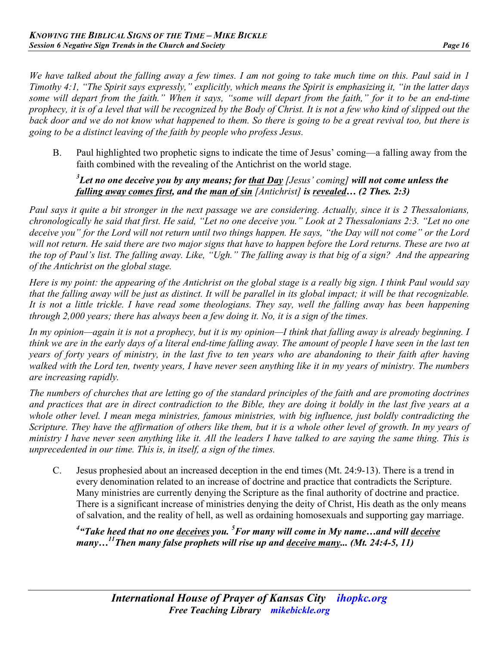*We have talked about the falling away a few times. I am not going to take much time on this. Paul said in 1 Timothy 4:1, "The Spirit says expressly," explicitly, which means the Spirit is emphasizing it, "in the latter days some will depart from the faith." When it says, "some will depart from the faith," for it to be an end-time prophecy, it is of a level that will be recognized by the Body of Christ. It is not a few who kind of slipped out the back door and we do not know what happened to them. So there is going to be a great revival too, but there is going to be a distinct leaving of the faith by people who profess Jesus.*

B. Paul highlighted two prophetic signs to indicate the time of Jesus' coming—a falling away from the faith combined with the revealing of the Antichrist on the world stage.

#### *3 Let no one deceive you by any means; for that Day [Jesus' coming] will not come unless the falling away comes first, and the man of sin [Antichrist] is revealed… (2 Thes. 2:3)*

*Paul says it quite a bit stronger in the next passage we are considering. Actually, since it is 2 Thessalonians, chronologically he said that first. He said, "Let no one deceive you." Look at 2 Thessalonians 2:3. "Let no one deceive you" for the Lord will not return until two things happen. He says, "the Day will not come" or the Lord will not return. He said there are two major signs that have to happen before the Lord returns. These are two at the top of Paul's list. The falling away. Like, "Ugh." The falling away is that big of a sign? And the appearing of the Antichrist on the global stage.*

*Here is my point: the appearing of the Antichrist on the global stage is a really big sign. I think Paul would say that the falling away will be just as distinct. It will be parallel in its global impact; it will be that recognizable. It is not a little trickle. I have read some theologians. They say, well the falling away has been happening through 2,000 years; there has always been a few doing it. No, it is a sign of the times.*

*In my opinion—again it is not a prophecy, but it is my opinion—I think that falling away is already beginning. I think we are in the early days of a literal end-time falling away. The amount of people I have seen in the last ten years of forty years of ministry, in the last five to ten years who are abandoning to their faith after having walked with the Lord ten, twenty years, I have never seen anything like it in my years of ministry. The numbers are increasing rapidly.*

*The numbers of churches that are letting go of the standard principles of the faith and are promoting doctrines and practices that are in direct contradiction to the Bible, they are doing it boldly in the last five years at a whole other level. I mean mega ministries, famous ministries, with big influence, just boldly contradicting the Scripture. They have the affirmation of others like them, but it is a whole other level of growth. In my years of ministry I have never seen anything like it. All the leaders I have talked to are saying the same thing. This is unprecedented in our time. This is, in itself, a sign of the times.*

C. Jesus prophesied about an increased deception in the end times (Mt. 24:9-13). There is a trend in every denomination related to an increase of doctrine and practice that contradicts the Scripture. Many ministries are currently denying the Scripture as the final authority of doctrine and practice. There is a significant increase of ministries denying the deity of Christ, His death as the only means of salvation, and the reality of hell, as well as ordaining homosexuals and supporting gay marriage.

*4 "Take heed that no one deceives you. 5 For many will come in My name…and will deceive many… 11 Then many false prophets will rise up and deceive many... (Mt. 24:4-5, 11)*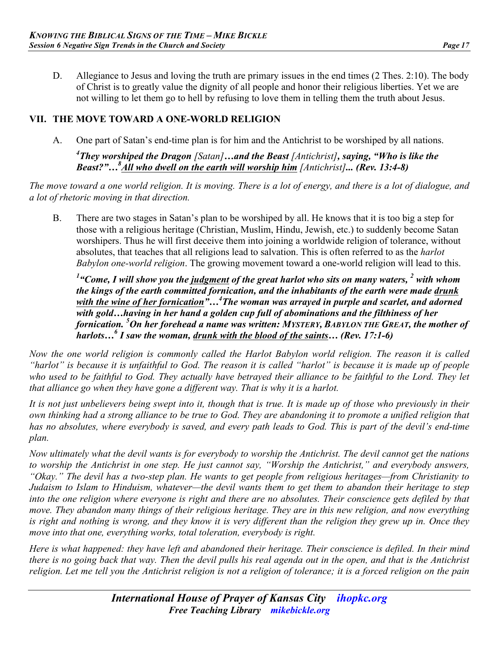D. Allegiance to Jesus and loving the truth are primary issues in the end times (2 Thes. 2:10). The body of Christ is to greatly value the dignity of all people and honor their religious liberties. Yet we are not willing to let them go to hell by refusing to love them in telling them the truth about Jesus.

### **VII. THE MOVE TOWARD A ONE-WORLD RELIGION**

A. One part of Satan's end-time plan is for him and the Antichrist to be worshiped by all nations.

*4 They worshiped the Dragon [Satan]…and the Beast [Antichrist], saying, "Who is like the Beast?"…<sup>8</sup> All who dwell on the earth will worship him [Antichrist]... (Rev. 13:4-8)* 

*The move toward a one world religion. It is moving. There is a lot of energy, and there is a lot of dialogue, and a lot of rhetoric moving in that direction.*

B. There are two stages in Satan's plan to be worshiped by all. He knows that it is too big a step for those with a religious heritage (Christian, Muslim, Hindu, Jewish, etc.) to suddenly become Satan worshipers. Thus he will first deceive them into joining a worldwide religion of tolerance, without absolutes, that teaches that all religions lead to salvation. This is often referred to as the *harlot Babylon one-world religion*. The growing movement toward a one-world religion will lead to this.

*1 "Come, I will show you the judgment of the great harlot who sits on many waters, 2 with whom the kings of the earth committed fornication, and the inhabitants of the earth were made drunk*  with the wine of her fornication"...<sup>4</sup>The woman was arrayed in purple and scarlet, and adorned *with gold…having in her hand a golden cup full of abominations and the filthiness of her fornication. <sup>5</sup> On her forehead a name was written: MYSTERY, BABYLON THE GREAT, the mother of harlots…6 I saw the woman, drunk with the blood of the saints… (Rev. 17:1-6)*

*Now the one world religion is commonly called the Harlot Babylon world religion. The reason it is called "harlot" is because it is unfaithful to God. The reason it is called "harlot" is because it is made up of people who used to be faithful to God. They actually have betrayed their alliance to be faithful to the Lord. They let that alliance go when they have gone a different way. That is why it is a harlot.* 

*It is not just unbelievers being swept into it, though that is true. It is made up of those who previously in their own thinking had a strong alliance to be true to God. They are abandoning it to promote a unified religion that has no absolutes, where everybody is saved, and every path leads to God. This is part of the devil's end-time plan.*

*Now ultimately what the devil wants is for everybody to worship the Antichrist. The devil cannot get the nations to worship the Antichrist in one step. He just cannot say, "Worship the Antichrist," and everybody answers, "Okay." The devil has a two-step plan. He wants to get people from religious heritages—from Christianity to Judaism to Islam to Hinduism, whatever—the devil wants them to get them to abandon their heritage to step into the one religion where everyone is right and there are no absolutes. Their conscience gets defiled by that move. They abandon many things of their religious heritage. They are in this new religion, and now everything is right and nothing is wrong, and they know it is very different than the religion they grew up in. Once they move into that one, everything works, total toleration, everybody is right.*

*Here is what happened: they have left and abandoned their heritage. Their conscience is defiled. In their mind there is no going back that way. Then the devil pulls his real agenda out in the open, and that is the Antichrist religion. Let me tell you the Antichrist religion is not a religion of tolerance; it is a forced religion on the pain*